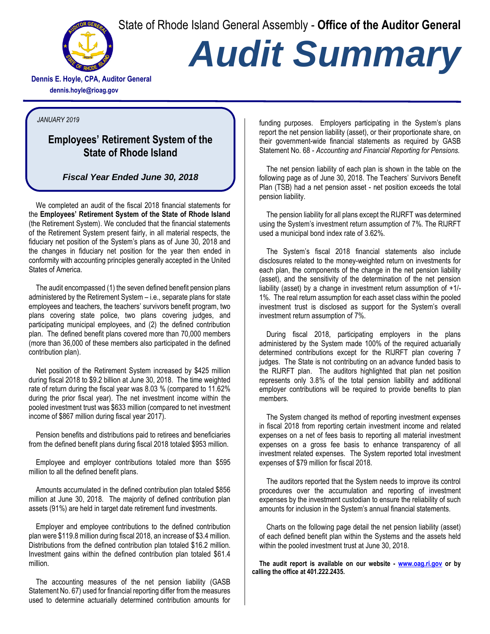State of Rhode Island General Assembly - **Office of the Auditor General**



## *Audit Summary*

**Dennis E. Hoyle, CPA, Auditor General dennis.hoyle@rioag.gov**

## *JANUARY 2019*

## **Employees' Retirement System of the State of Rhode Island**

## *Fiscal Year Ended June 30, 2018*

We completed an audit of the fiscal 2018 financial statements for the **Employees' Retirement System of the State of Rhode Island** (the Retirement System). We concluded that the financial statements of the Retirement System present fairly, in all material respects, the fiduciary net position of the System's plans as of June 30, 2018 and the changes in fiduciary net position for the year then ended in conformity with accounting principles generally accepted in the United States of America.

The audit encompassed (1) the seven defined benefit pension plans administered by the Retirement System – i.e., separate plans for state employees and teachers, the teachers' survivors benefit program, two plans covering state police, two plans covering judges, and participating municipal employees, and (2) the defined contribution plan. The defined benefit plans covered more than 70,000 members (more than 36,000 of these members also participated in the defined contribution plan).

Net position of the Retirement System increased by \$425 million during fiscal 2018 to \$9.2 billion at June 30, 2018. The time weighted rate of return during the fiscal year was 8.03 % (compared to 11.62% during the prior fiscal year). The net investment income within the pooled investment trust was \$633 million (compared to net investment income of \$867 million during fiscal year 2017).

Pension benefits and distributions paid to retirees and beneficiaries from the defined benefit plans during fiscal 2018 totaled \$953 million.

Employee and employer contributions totaled more than \$595 million to all the defined benefit plans.

Amounts accumulated in the defined contribution plan totaled \$856 million at June 30, 2018. The majority of defined contribution plan assets (91%) are held in target date retirement fund investments.

Employer and employee contributions to the defined contribution plan were \$119.8 million during fiscal 2018, an increase of \$3.4 million. Distributions from the defined contribution plan totaled \$16.2 million. Investment gains within the defined contribution plan totaled \$61.4 million.

The accounting measures of the net pension liability (GASB Statement No. 67) used for financial reporting differ from the measures used to determine actuarially determined contribution amounts for funding purposes. Employers participating in the System's plans report the net pension liability (asset), or their proportionate share, on their government-wide financial statements as required by GASB Statement No. 68 - *Accounting and Financial Reporting for Pensions.*

The net pension liability of each plan is shown in the table on the following page as of June 30, 2018. The Teachers' Survivors Benefit Plan (TSB) had a net pension asset - net position exceeds the total pension liability.

The pension liability for all plans except the RIJRFT was determined using the System's investment return assumption of 7%. The RIJRFT used a municipal bond index rate of 3.62%.

The System's fiscal 2018 financial statements also include disclosures related to the money-weighted return on investments for each plan, the components of the change in the net pension liability (asset), and the sensitivity of the determination of the net pension liability (asset) by a change in investment return assumption of +1/- 1%. The real return assumption for each asset class within the pooled investment trust is disclosed as support for the System's overall investment return assumption of 7%.

During fiscal 2018, participating employers in the plans administered by the System made 100% of the required actuarially determined contributions except for the RIJRFT plan covering 7 judges. The State is not contributing on an advance funded basis to the RIJRFT plan. The auditors highlighted that plan net position represents only 3.8% of the total pension liability and additional employer contributions will be required to provide benefits to plan members.

The System changed its method of reporting investment expenses in fiscal 2018 from reporting certain investment income and related expenses on a net of fees basis to reporting all material investment expenses on a gross fee basis to enhance transparency of all investment related expenses. The System reported total investment expenses of \$79 million for fiscal 2018.

The auditors reported that the System needs to improve its control procedures over the accumulation and reporting of investment expenses by the investment custodian to ensure the reliability of such amounts for inclusion in the System's annual financial statements.

Charts on the following page detail the net pension liability (asset) of each defined benefit plan within the Systems and the assets held within the pooled investment trust at June 30, 2018.

**The audit report is available on our website - [www.oag.ri.gov](http://www.oag.ri.gov/) or by calling the office at 401.222.2435.**